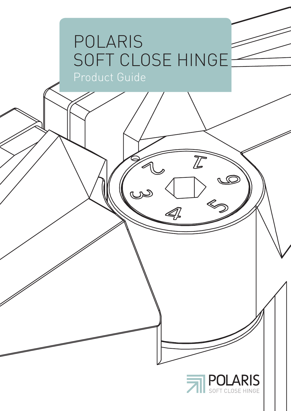#### POLARIS SOFT CLOSE HINGE Product Guide

يى



 $\overline{L}$ 

 $\mathscr{A}$ 

 $\pi$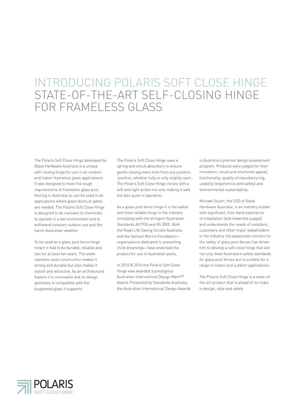#### FOR FRAMELESS GLASS STATE-OF-THE-ART SELF-CLOSING HINGE INTRODUCING POLARIS SOFT CLOSE HINGE

The Polaris Soft Close Hinge developed by Glass Hardware Australia is a unique self-closing hinge for use in all outdoor and indoor frameless glass applications. It was designed to meet the tough requirements of frameless glass pool fencing in Australia so can be used in all applications where glass doors or gates are needed. The Polaris Soft Close Hinge is designed to be resistant to chemicals, to operate in a wet environment and to withstand constant outdoor use and the harsh Australian weather.

To be used as a glass pool fence hinge meant it had to be durable, reliable and last for at least ten years. The sleek stainless steel construction makes it strong and durable but also makes it stylish and attractive. As an architectural feature it is minimalist and its design geometry is compatible with the toughened glass it supports.

The Polaris Soft Close Hinge uses a spring and shock absorbers to ensure gentle closing every time from any position, position, whether fully or only slightly open. The Polaris Soft Close Hinge closes with a soft and light action not only making it safe but also quiet in operation.

As a glass pool fence hinge it is the safest and most reliable hinge in the industry complying with the stringent Australian Standards AS1926 and AS 2820. Both the Royal Life Saving Society Australia and the Samuel Morris Foundation organisations dedicated to preventing child drownings—have endorsed the product for use in Australian pools.

In 2010 & 2016 the Polaris Soft Close Hinge was awarded a prestigious Australian International Design Mark™ Award. Presented by Standards Australia, the Australian International Design Awards is Australia's premier design assessment program. Products were judged for their innovation, visual and emotional appeal, functionality, quality of manufacturing, usability (ergonomics and safety) and environmental sustainability.

Michael Stuart, the CEO of Glass Hardware Australia, is an industry insider with significant, first-hand experience of installation (and materials supply) and understands the needs of installers, customers and other major stakeholders in the industry. His passionate concern for the safety of glass pool fences has driven him to develop a soft close hinge that will not only meet Australia's safety standards for glass pool fences but is suitable for a range of indoor and outdoor applications.

The Polaris Soft Close Hinge is a state-ofthe-art product that is ahead of its rivals in design, style and safety.

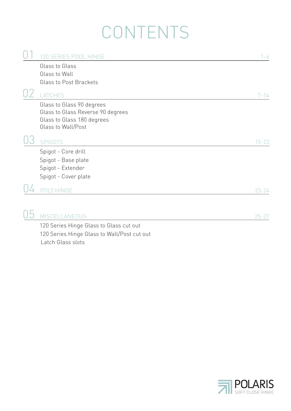### CONTENTS

|  | 120 SERIES POOL HINGE                       | $1 - 6$   |
|--|---------------------------------------------|-----------|
|  | Glass to Glass                              |           |
|  | Glass to Wall                               |           |
|  | Glass to Post Brackets                      |           |
|  |                                             |           |
|  | LATCHES                                     | $7 - 14$  |
|  | Glass to Glass 90 degrees                   |           |
|  | Glass to Glass Reverse 90 degrees           |           |
|  | Glass to Glass 180 degrees                  |           |
|  | Glass to Wall/Post                          |           |
|  | <b>SPIGOTS</b>                              | $15 - 22$ |
|  | Spigot - Core drill                         |           |
|  | Spigot - Base plate                         |           |
|  |                                             |           |
|  | Spigot - Extender                           |           |
|  | Spigot - Cover plate                        |           |
|  | POLY HINGE                                  | $23 - 24$ |
|  |                                             |           |
|  | <b>MISCELLANEOUS</b>                        | $25 - 27$ |
|  | 120 Series Hinge Glass to Glass cut out     |           |
|  | $1000 \times 11$ $01 \times 11100 \times 1$ |           |

Latch Glass slots 120 Series Hinge Glass to Wall/Post cut out

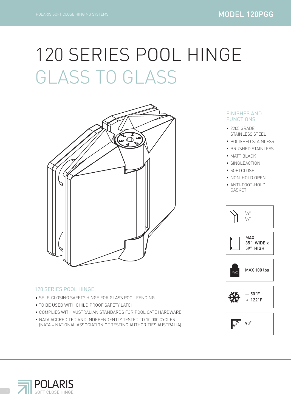# 120 SERIES POOL HINGE GLASS TO GLASS



#### 120 SERIES POOL HINGE

- **SELF-CLOSING SAFETY HINGE FOR GLASS POOL FENCING**
- **TO BE USED WITH CHILD PROOF SAFETY LATCH**
- COMPLIES WITH AUSTRALIAN STANDARDS FOR POOL GATE HARDWARE
- NATA ACCREDITED AND INDEPENDENTLY TESTED TO 10'000 CYCLES (NATA = NATIONAL ASSOCIATION OF TESTING AUTHORITIES AUSTRALIA)

#### FINISHES AND FUNCTIONS

- STAINLESS STEEL ■ 2205 GRADE
- **POLISHED STAINLESS**
- **BRUSHED STAINLESS**
- **MATT BLACK**
- **SINGLEACTION**
- SOFTCLOSE
- **NON-HOLD OPEN** ANTI-FOOT-HOLD GASKET











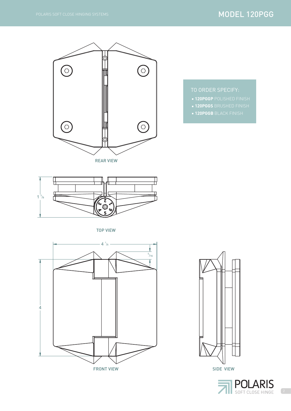#### MODEL 120PGG



- TO ORDER SPECIFY:
- **120PGGP** POLISHED FINISH
- 
- **120PGGS** BRUSHED FINISH
- 
- 
- 
- 
- 
- 
- 
- 
- 
- 
- 
- 
- 
- 
- 
- **120PGGB** BLACK FINISH
- 
- 
- 
- 



TOP VIEW





SIDE VIEW

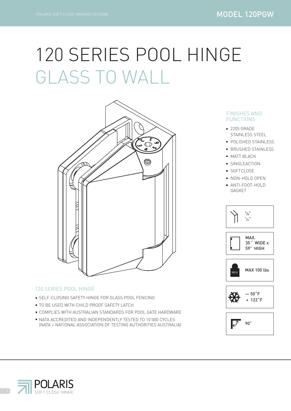### 120 SERIES POOL HINGE GLASS TO WALL



#### 120 SERIES POOL HINGE

- **SELF-CLOSING SAFETY HINGE FOR GLASS POOL FENCING**
- **TO BE USED WITH CHILD PROOF SAFETY LATCH**
- COMPLIES WITH AUSTRALIAN STANDARDS FOR POOL GATE HARDWARE
- NATA ACCREDITED AND INDEPENDENTLY TESTED TO 10'000 CYCLES (NATA = NATIONAL ASSOCIATION OF TESTING AUTHORITIES AUSTRALIA)

#### FINISHES AND FUNCTIONS

- STAINLESS STEEL ■ 2205 GRADE
- **POLISHED STAINLESS**
- **BRUSHED STAINLESS**
- **MATT BLACK**
- **SINGLEACTION**
- SOFTCLOSE
- NON-HOLD OPEN
- ANTI-FOOT-HOLD GASKET











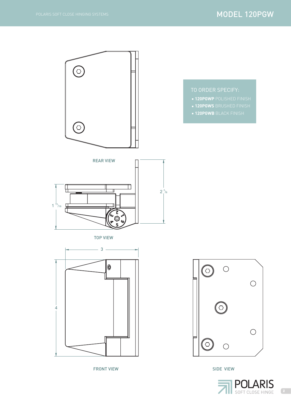$\bigodot$ TO ORDER SPECIFY: **120PGWP** POLISHED FINISH **120PGWS** BRUSHED FINISH **120PGWB** BLACK FINISH  $\bigcirc$ REAR VIEW  $\frac{\Pi}{\Pi}$  $\Gamma$  $\mathbb{I}$  $2^{5}/8$  $1<sup>13</sup>/16$ 上 TOP VIEW 3  $\circledast$  $\bigcirc$  $\circ$  $\bigcirc$ <u>์</u><br>0 4 $\bigcirc$  $\bigodot$  $\bigcirc$ 

FRONT VIEW



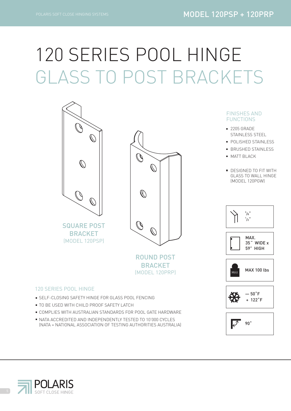90˚

 $\overline{\mathscr{I}}$ 

+ 122˚F

# GLASS TO POST BRACKETS 120 SERIES POOL HINGE



- **SELF-CLOSING SAFETY HINGE FOR GLASS POOL FENCING**
- **TO BE USED WITH CHILD PROOF SAFETY LATCH**
- COMPLIES WITH AUSTRALIAN STANDARDS FOR POOL GATE HARDWARE
- NATA ACCREDITED AND INDEPENDENTLY TESTED TO 10'000 CYCLES (NATA = NATIONAL ASSOCIATION OF TESTING AUTHORITIES AUSTRALIA)

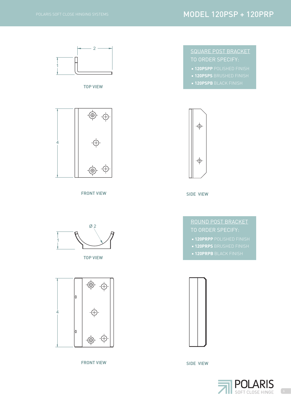#### MODEL 120PSP + 120PRP

1

# 2

TOP VIEW



FRONT VIEW SIDE VIEW



TOP VIEW



FRONT VIEW SIDE VIEW

#### TO ORDER SPECIFY: SQUARE POST BRACKET

- **120PSPP** POLISHED FINISH
- **120PSPS BRUSHED FINISH**
- **120PSPB BLACK FINISH**



ROUND POST BRACKET

- **120PRPP** POLISHED FINISH
- **120PRPS** BRUSHED FINISH
- **120PRPB BLACK FINISH**



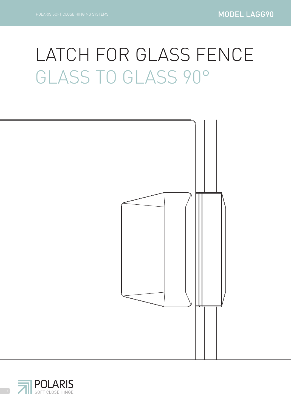### LATCH FOR GLASS FENCE GLASS TO GLASS 90°



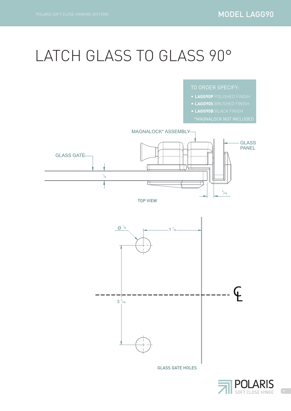#### LATCH GLASS TO GLASS 90°

- **LAGG90P** POLISHED FINISH
- **LAGG90S** BRUSHED FINISH
- **LAGG90B** BLACK FINISH
- 



 $3^{3}/_{16}$ 

GLASS GATE HOLES

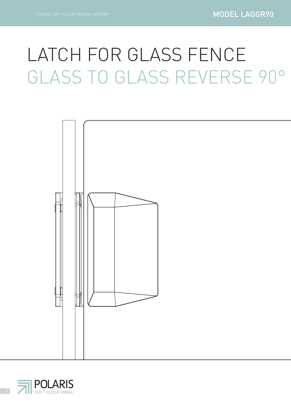## LATCH FOR GLASS FENCE GLASS TO GLASS REVERSE 90°



![](_page_11_Picture_4.jpeg)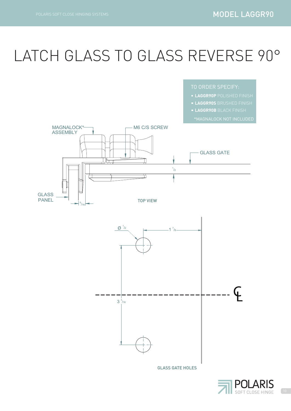### LATCH GLASS TO GLASS REVERSE 90°

![](_page_12_Figure_3.jpeg)

![](_page_12_Picture_4.jpeg)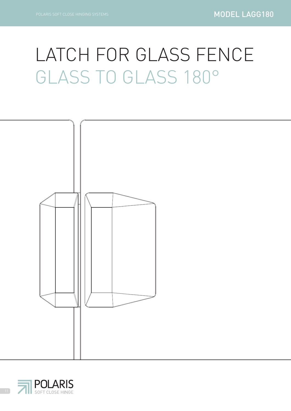### LATCH FOR GLASS FENCE GLASS TO GLASS 180°

![](_page_13_Figure_3.jpeg)

![](_page_13_Picture_4.jpeg)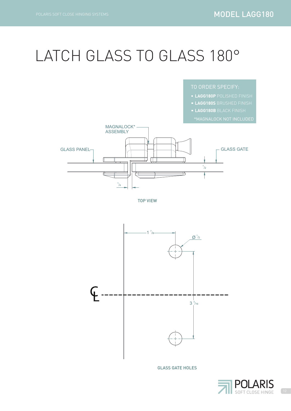### LATCH GLASS TO GLASS 180°

![](_page_14_Figure_3.jpeg)

 $\overline{\mathcal{L}}$ 

TOP VIEW

 $1/4$ 

![](_page_14_Figure_5.jpeg)

![](_page_14_Picture_6.jpeg)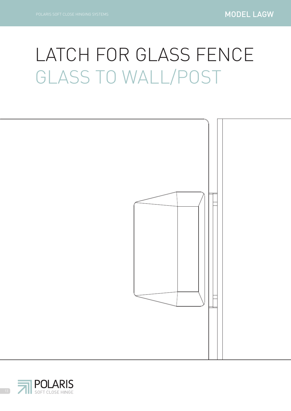### LATCH FOR GLASS FENCE GLASS TO WALL/POST

![](_page_15_Figure_3.jpeg)

![](_page_15_Picture_4.jpeg)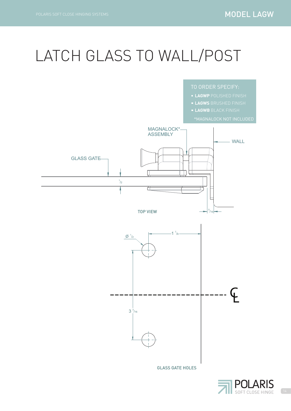### LATCH GLASS TO WALL/POST

![](_page_16_Figure_3.jpeg)

![](_page_16_Picture_4.jpeg)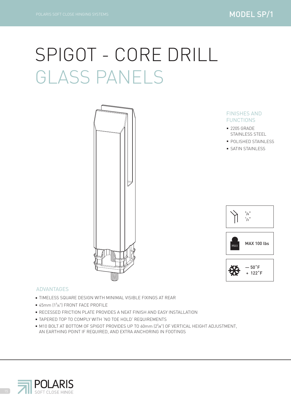# SPIGOT - CORE DRILL GLASS PANELS

![](_page_17_Picture_3.jpeg)

#### ADVANTAGES

- TIMELESS SQUARE DESIGN WITH MINIMAL VISIBLE FIXINGS AT REAR
- 45mm (13/4") FRONT FACE PROFILE
- **RECESSED FRICTION PLATE PROVIDES A NEAT FINISH AND EASY INSTALLATION**
- TAPERED TOP TO COMPLY WITH 'NO TOE HOLD' REQUIREMENTS
- M10 BOLT AT BOTTOM OF SPIGOT PROVIDES UP TO 60mm  $(2^{3}/8")$  OF VERTICAL HEIGHT ADJUSTMENT, AN EARTHING POINT IF REQUIRED, AND EXTRA ANCHORING IN FOOTINGS

![](_page_17_Picture_10.jpeg)

#### FINISHES AND FUNCTIONS

- STAINLESS STEEL ■ 2205 GRADE
- **POLISHED STAINLESS**
- **SATIN STAINLESS**

![](_page_17_Picture_15.jpeg)

![](_page_17_Picture_16.jpeg)

![](_page_17_Picture_17.jpeg)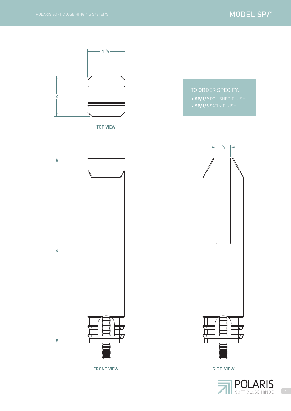![](_page_18_Figure_2.jpeg)

![](_page_18_Figure_3.jpeg)

SIDE VIEW

![](_page_18_Picture_5.jpeg)

![](_page_18_Figure_6.jpeg)

TOP VIEW

![](_page_18_Figure_8.jpeg)

FRONT VIEW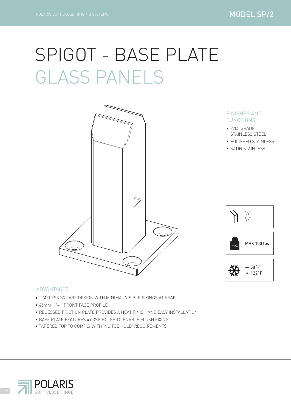### SPIGOT - BASE PLATE GLASS PANELS

![](_page_19_Picture_3.jpeg)

#### FINISHES AND FUNCTIONS

- STAINLESS STEEL ■ 2205 GRADE
- **POLISHED STAINLESS**
- **SATIN STAINLESS**

![](_page_19_Picture_8.jpeg)

![](_page_19_Picture_9.jpeg)

![](_page_19_Picture_10.jpeg)

#### ADVANTAGES

- TIMELESS SQUARE DESIGN WITH MINIMAL VISIBLE FIXINGS AT REAR
- 45mm (13/4") FRONT FACE PROFILE
- **RECESSED FRICTION PLATE PROVIDES A NEAT FINISH AND EASY INSTALLATION**
- **BASE PLATE FEATURES 4x CSK HOLES TO ENABLE FLUSH FIXING**
- TAPERED TOP TO COMPLY WITH 'NO TOE HOLD' REQUIREMENTS

![](_page_19_Picture_17.jpeg)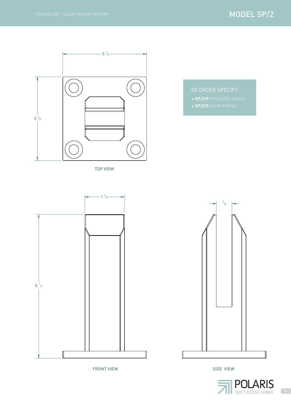![](_page_20_Figure_2.jpeg)

TOP VIEW

![](_page_20_Figure_4.jpeg)

**SP/2/S** SATIN FINISH

![](_page_20_Figure_6.jpeg)

FRONT VIEW

![](_page_20_Figure_8.jpeg)

SIDE VIEW

![](_page_20_Picture_10.jpeg)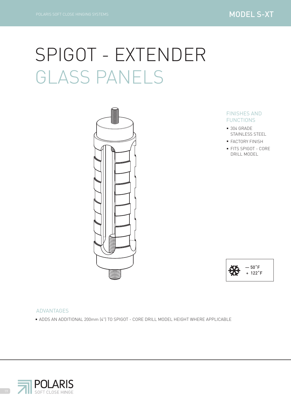### SPIGOT - EXTENDER GLASS PANELS

![](_page_21_Picture_3.jpeg)

#### FINISHES AND FUNCTIONS

- STAINLESS STEEL **304 GRADE**
- **FACTORY FINISH**
- **FITS SPIGOT CORE** DRILL MODEL

![](_page_21_Picture_8.jpeg)

#### ADVANTAGES

ADDS AN ADDITIONAL 200mm (4") TO SPIGOT - CORE DRILL MODEL HEIGHT WHERE APPLICABLE

![](_page_21_Picture_11.jpeg)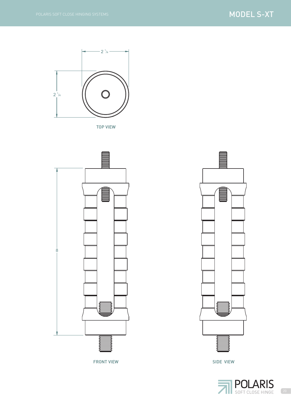#### MODEL S-XT

![](_page_22_Figure_2.jpeg)

TOP VIEW

![](_page_22_Figure_4.jpeg)

FRONT VIEW

![](_page_22_Figure_6.jpeg)

SIDE VIEW

![](_page_22_Picture_8.jpeg)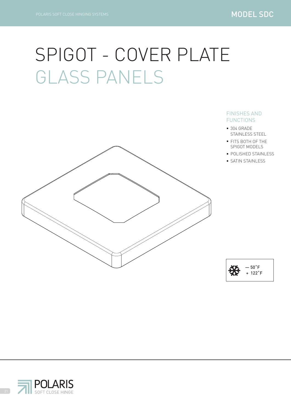### SPIGOT - COVER PLATE GLASS PANELS

![](_page_23_Figure_3.jpeg)

#### FINISHES AND FUNCTIONS

- STAINLESS STEEL **304 GRADE**
- FITS BOTH OF THE SPIGOT MODELS
- **POLISHED STAINLESS** 
	- **SATIN STAINLESS**

![](_page_23_Figure_9.jpeg)

![](_page_23_Picture_10.jpeg)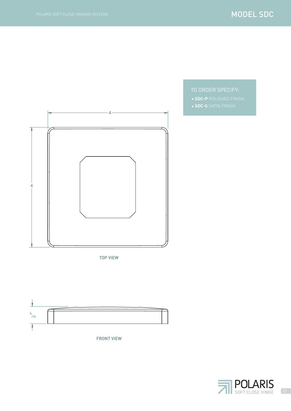![](_page_24_Figure_2.jpeg)

TOP VIEW

![](_page_24_Figure_4.jpeg)

TO ORDER SPECIFY: **SDC-P** POLISHED FINISH **SDC-S** SATIN FINISH

![](_page_24_Picture_6.jpeg)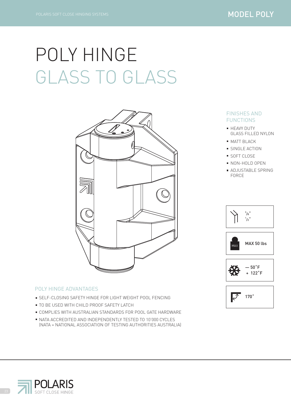## POLY HINGE GLASS TO GLASS

![](_page_25_Picture_3.jpeg)

#### POLY HINGE ADVANTAGES

- **SELF-CLOSING SAFETY HINGE FOR LIGHT WEIGHT POOL FENCING**
- **TO BE USED WITH CHILD PROOF SAFETY LATCH**
- COMPLIES WITH AUSTRALIAN STANDARDS FOR POOL GATE HARDWARE
- NATA ACCREDITED AND INDEPENDENTLY TESTED TO 10'000 CYCLES (NATA = NATIONAL ASSOCIATION OF TESTING AUTHORITIES AUSTRALIA)

#### FINISHES AND FUNCTIONS

- **HEAVY DUTY** GLASS FILLED NYLON
- **MATT BLACK**
- **SINGLE ACTION**
- **SOFT CLOSE**
- **NON-HOLD OPEN**
- **ADJUSTABLE SPRING** FORCE

![](_page_25_Picture_16.jpeg)

![](_page_25_Picture_17.jpeg)

![](_page_25_Picture_18.jpeg)

![](_page_25_Picture_19.jpeg)

![](_page_25_Picture_20.jpeg)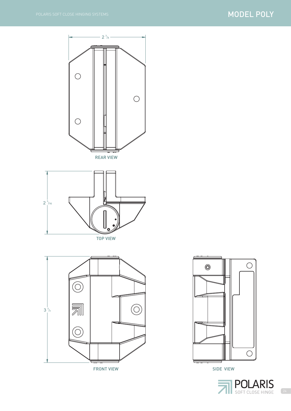#### MODEL POLY

![](_page_26_Figure_2.jpeg)

![](_page_26_Figure_3.jpeg)

![](_page_26_Figure_4.jpeg)

![](_page_26_Figure_5.jpeg)

SIDE VIEW

![](_page_26_Picture_7.jpeg)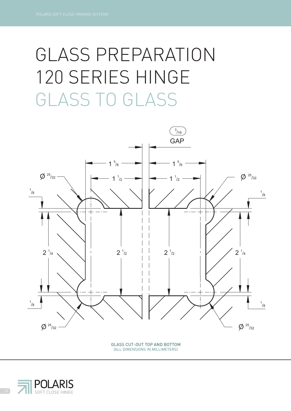# GLASS TO GLASS GLASS PREPARATION 120 SERIES HINGE

![](_page_27_Figure_2.jpeg)

GLASS CUT-OUT TOP AND BOTTOM (ALL DIMENSIONS IN MILLIMETERS)

![](_page_27_Picture_4.jpeg)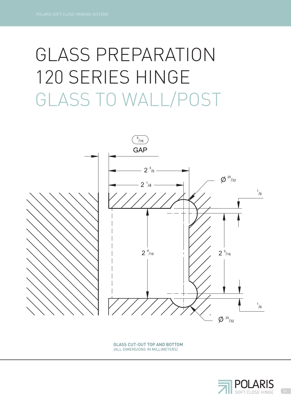# GLASS TO WALL/POST GLASS PREPARATION 120 SERIES HINGE

![](_page_28_Figure_2.jpeg)

GLASS CUT-OUT TOP AND BOTTOM (ALL DIMENSIONS IN MILLIMETERS)

![](_page_28_Picture_4.jpeg)